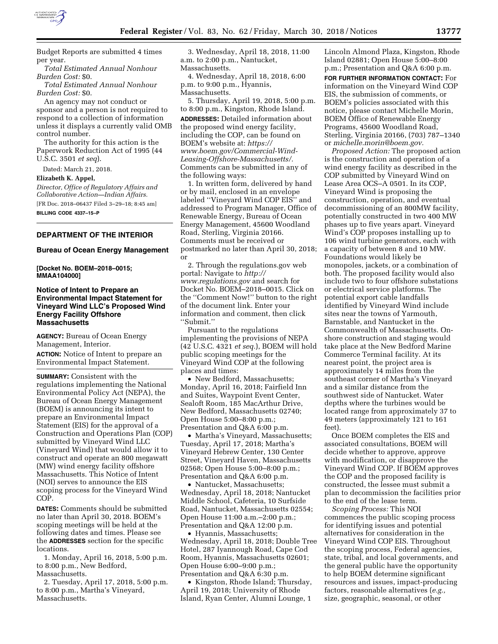

Budget Reports are submitted 4 times per year.

*Total Estimated Annual Nonhour Burden Cost:* \$0.

*Total Estimated Annual Nonhour Burden Cost:* \$0.

An agency may not conduct or sponsor and a person is not required to respond to a collection of information unless it displays a currently valid OMB control number.

The authority for this action is the Paperwork Reduction Act of 1995 (44 U.S.C. 3501 *et seq*).

Dated: March 21, 2018.

**Elizabeth K. Appel,** 

*Director, Office of Regulatory Affairs and Collaborative Action—Indian Affairs.*  [FR Doc. 2018–06437 Filed 3–29–18; 8:45 am]

**BILLING CODE 4337–15–P** 

## **DEPARTMENT OF THE INTERIOR**

## **Bureau of Ocean Energy Management**

**[Docket No. BOEM–2018–0015; MMAA104000]** 

## **Notice of Intent to Prepare an Environmental Impact Statement for Vineyard Wind LLC's Proposed Wind Energy Facility Offshore Massachusetts**

**AGENCY:** Bureau of Ocean Energy Management, Interior.

**ACTION:** Notice of Intent to prepare an Environmental Impact Statement.

**SUMMARY:** Consistent with the regulations implementing the National Environmental Policy Act (NEPA), the Bureau of Ocean Energy Management (BOEM) is announcing its intent to prepare an Environmental Impact Statement (EIS) for the approval of a Construction and Operations Plan (COP) submitted by Vineyard Wind LLC (Vineyard Wind) that would allow it to construct and operate an 800 megawatt (MW) wind energy facility offshore Massachusetts. This Notice of Intent (NOI) serves to announce the EIS scoping process for the Vineyard Wind COP.

**DATES:** Comments should be submitted no later than April 30, 2018. BOEM's scoping meetings will be held at the following dates and times. Please see the **ADDRESSES** section for the specific locations.

1. Monday, April 16, 2018, 5:00 p.m. to 8:00 p.m., New Bedford, Massachusetts.

2. Tuesday, April 17, 2018, 5:00 p.m. to 8:00 p.m., Martha's Vineyard, Massachusetts.

3. Wednesday, April 18, 2018, 11:00 a.m. to 2:00 p.m., Nantucket, Massachusetts.

4. Wednesday, April 18, 2018, 6:00 p.m. to 9:00 p.m., Hyannis, Massachusetts.

5. Thursday, April 19, 2018, 5:00 p.m. to 8:00 p.m., Kingston, Rhode Island. **ADDRESSES:** Detailed information about the proposed wind energy facility, including the COP, can be found on BOEM's website at: *[https://](https://www.boem.gov/Commercial-Wind-Leasing-Offshore-Massachusetts/) [www.boem.gov/Commercial-Wind-](https://www.boem.gov/Commercial-Wind-Leasing-Offshore-Massachusetts/)[Leasing-Offshore-Massachusetts/.](https://www.boem.gov/Commercial-Wind-Leasing-Offshore-Massachusetts/)*  Comments can be submitted in any of the following ways:

1. In written form, delivered by hand or by mail, enclosed in an envelope labeled ''Vineyard Wind COP EIS'' and addressed to Program Manager, Office of Renewable Energy, Bureau of Ocean Energy Management, 45600 Woodland Road, Sterling, Virginia 20166. Comments must be received or postmarked no later than April 30, 2018; or

2. Through the regulations.gov web portal: Navigate to *[http://](http://www.regulations.gov) [www.regulations.gov](http://www.regulations.gov)* and search for Docket No. BOEM–2018–0015. Click on the ''Comment Now!'' button to the right of the document link. Enter your information and comment, then click ''Submit.''

Pursuant to the regulations implementing the provisions of NEPA (42 U.S.C. 4321 *et seq.*), BOEM will hold public scoping meetings for the Vineyard Wind COP at the following places and times:

• New Bedford, Massachusetts; Monday, April 16, 2018; Fairfield Inn and Suites, Waypoint Event Center, Sealoft Room, 185 MacArthur Drive, New Bedford, Massachusetts 02740; Open House 5:00–8:00 p.m.; Presentation and Q&A 6:00 p.m.

• Martha's Vineyard, Massachusetts; Tuesday, April 17, 2018; Martha's Vineyard Hebrew Center, 130 Center Street, Vineyard Haven, Massachusetts 02568; Open House 5:00–8:00 p.m.; Presentation and Q&A 6:00 p.m.

• Nantucket, Massachusetts; Wednesday, April 18, 2018; Nantucket Middle School, Cafeteria, 10 Surfside Road, Nantucket, Massachusetts 02554; Open House 11:00 a.m.–2:00 p.m.; Presentation and Q&A 12:00 p.m.

• Hyannis, Massachusetts; Wednesday, April 18, 2018; Double Tree Hotel, 287 Iyannough Road, Cape Cod Room, Hyannis, Massachusetts 02601; Open House 6:00–9:00 p.m.; Presentation and Q&A 6:30 p.m.

• Kingston, Rhode Island; Thursday, April 19, 2018; University of Rhode Island, Ryan Center, Alumni Lounge, 1

Lincoln Almond Plaza, Kingston, Rhode Island 02881; Open House 5:00–8:00 p.m.; Presentation and Q&A 6:00 p.m.

**FOR FURTHER INFORMATION CONTACT:** For information on the Vineyard Wind COP EIS, the submission of comments, or BOEM's policies associated with this notice, please contact Michelle Morin, BOEM Office of Renewable Energy Programs, 45600 Woodland Road, Sterling, Virginia 20166, (703) 787–1340 or *[michelle.morin@boem.gov.](mailto:michelle.morin@boem.gov)* 

*Proposed Action:* The proposed action is the construction and operation of a wind energy facility as described in the COP submitted by Vineyard Wind on Lease Area OCS–A 0501. In its COP, Vineyard Wind is proposing the construction, operation, and eventual decommissioning of an 800MW facility, potentially constructed in two 400 MW phases up to five years apart. Vineyard Wind's COP proposes installing up to 106 wind turbine generators, each with a capacity of between 8 and 10 MW. Foundations would likely be monopoles, jackets, or a combination of both. The proposed facility would also include two to four offshore substations or electrical service platforms. The potential export cable landfalls identified by Vineyard Wind include sites near the towns of Yarmouth, Barnstable, and Nantucket in the Commonwealth of Massachusetts. Onshore construction and staging would take place at the New Bedford Marine Commerce Terminal facility. At its nearest point, the project area is approximately 14 miles from the southeast corner of Martha's Vineyard and a similar distance from the southwest side of Nantucket. Water depths where the turbines would be located range from approximately 37 to 49 meters (approximately 121 to 161 feet).

Once BOEM completes the EIS and associated consultations, BOEM will decide whether to approve, approve with modification, or disapprove the Vineyard Wind COP. If BOEM approves the COP and the proposed facility is constructed, the lessee must submit a plan to decommission the facilities prior to the end of the lease term.

*Scoping Process:* This NOI commences the public scoping process for identifying issues and potential alternatives for consideration in the Vineyard Wind COP EIS. Throughout the scoping process, Federal agencies, state, tribal, and local governments, and the general public have the opportunity to help BOEM determine significant resources and issues, impact-producing factors, reasonable alternatives (*e.g.,*  size, geographic, seasonal, or other